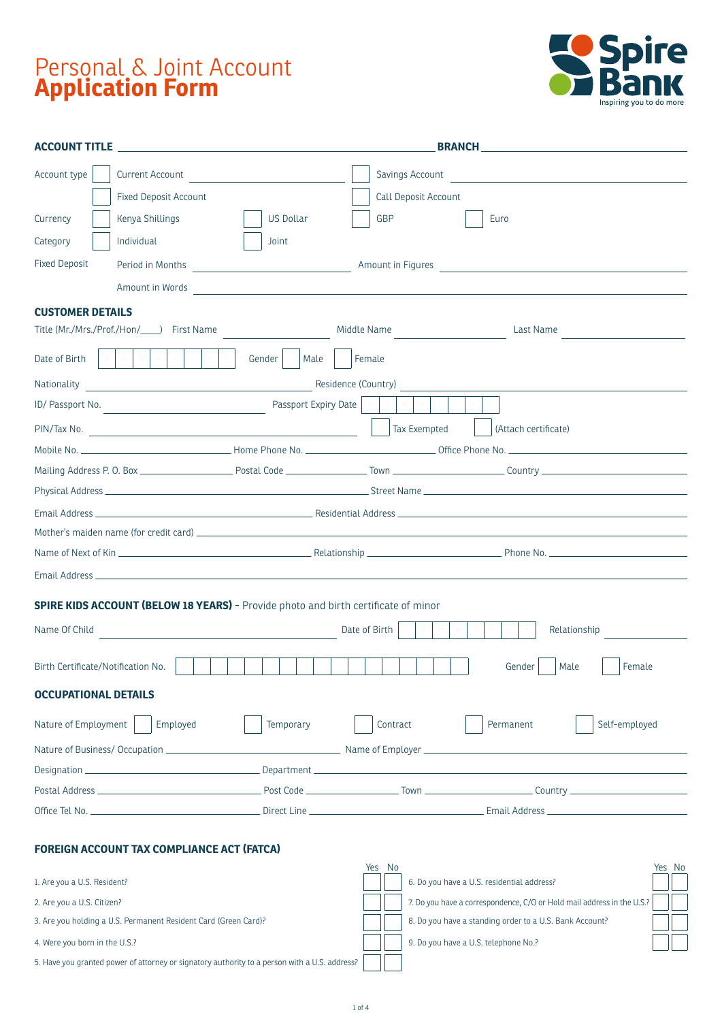# Personal & Joint Account **Application Form**



| Account type                       | Current Account                                                                                                                          |                      | Savings Account      |                                                      |  |  |
|------------------------------------|------------------------------------------------------------------------------------------------------------------------------------------|----------------------|----------------------|------------------------------------------------------|--|--|
|                                    | <b>Fixed Deposit Account</b>                                                                                                             |                      | Call Deposit Account |                                                      |  |  |
| Currency                           | Kenya Shillings                                                                                                                          | US Dollar            | GBP                  | Euro                                                 |  |  |
| Category                           | Individual                                                                                                                               | Joint                |                      |                                                      |  |  |
| <b>Fixed Deposit</b>               |                                                                                                                                          |                      |                      | Amount in Figures                                    |  |  |
|                                    | Amount in Words <b>Amount 2018</b>                                                                                                       |                      |                      |                                                      |  |  |
| <b>CUSTOMER DETAILS</b>            |                                                                                                                                          |                      |                      |                                                      |  |  |
|                                    | Title (Mr./Mrs./Prof./Hon/ ) First Name                                                                                                  |                      | Middle Name          | Last Name                                            |  |  |
| Date of Birth                      | $M = \begin{bmatrix} 1 & 0 \\ 0 & 0 \\ 0 & 0 \end{bmatrix} \quad \text{and} \quad \begin{bmatrix} 1 & 0 \\ 0 & 1 \\ 0 & 1 \end{bmatrix}$ | Gender<br>Male       | Female               |                                                      |  |  |
| Nationality                        | <u> 1980 - Johann Barn, fransk politik (d. 1980)</u>                                                                                     |                      | Residence (Country)  |                                                      |  |  |
|                                    | ID/Passport No.                                                                                                                          | Passport Expiry Date |                      |                                                      |  |  |
|                                    |                                                                                                                                          |                      | Tax Exempted         | (Attach certificate)                                 |  |  |
|                                    |                                                                                                                                          |                      |                      |                                                      |  |  |
|                                    |                                                                                                                                          |                      |                      |                                                      |  |  |
|                                    |                                                                                                                                          |                      |                      |                                                      |  |  |
|                                    |                                                                                                                                          |                      |                      |                                                      |  |  |
|                                    |                                                                                                                                          |                      |                      |                                                      |  |  |
|                                    |                                                                                                                                          |                      |                      |                                                      |  |  |
|                                    |                                                                                                                                          |                      |                      |                                                      |  |  |
|                                    | <b>SPIRE KIDS ACCOUNT (BELOW 18 YEARS)</b> - Provide photo and birth certificate of minor                                                |                      |                      |                                                      |  |  |
| Name Of Child                      |                                                                                                                                          |                      | Date of Birth        | Relationship                                         |  |  |
| Birth Certificate/Notification No. |                                                                                                                                          |                      |                      | Gender<br>Male<br>Female                             |  |  |
| <b>OCCUPATIONAL DETAILS</b>        |                                                                                                                                          |                      |                      |                                                      |  |  |
| Nature of Employment               | Employed                                                                                                                                 | Temporary            | Contract             | Permanent<br>Self-employed                           |  |  |
|                                    |                                                                                                                                          |                      |                      |                                                      |  |  |
|                                    |                                                                                                                                          |                      |                      |                                                      |  |  |
|                                    |                                                                                                                                          |                      |                      |                                                      |  |  |
|                                    |                                                                                                                                          |                      |                      |                                                      |  |  |
|                                    | <b>FOREIGN ACCOUNT TAX COMPLIANCE ACT (FATCA)</b>                                                                                        |                      |                      |                                                      |  |  |
| 1. Are you a U.S. Resident?        |                                                                                                                                          |                      | Yes No               | Yes No<br>6. Do you have a U.S. residential address? |  |  |

|  | 2. Are you a U.S. Citizen? |
|--|----------------------------|
|--|----------------------------|

3. Are you holding a U.S. Permanent Resident Card (Green Card)? 8. Do you have a standing order to a U.S. Bank Account?

4. Were you born in the U.S.? Contact the U.S. 2. Contact the U.S. telephone No.?

5. Have you granted power of attorney or signatory authority to a person with a U.S. address?

7. Do you have a correspondence, C/O or Hold mail address in the U.S.?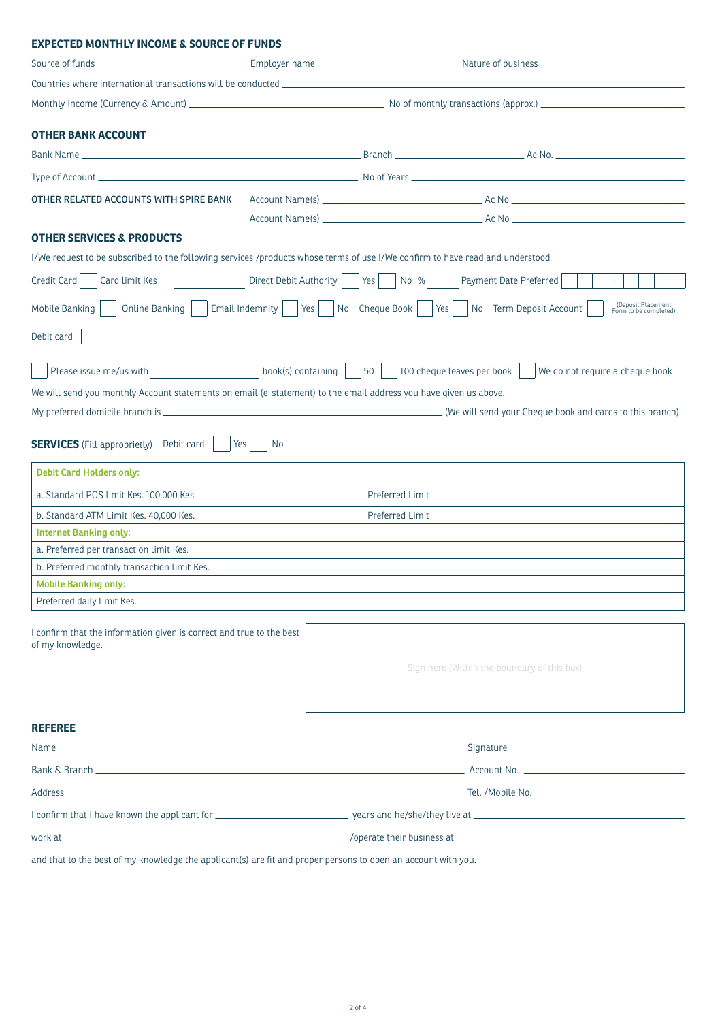#### **EXPECTED MONTHLY INCOME & SOURCE OF FUNDS**

| <b>OTHER BANK ACCOUNT</b>                                                                                                     |                              |                 |                                                                                                                               |  |  |
|-------------------------------------------------------------------------------------------------------------------------------|------------------------------|-----------------|-------------------------------------------------------------------------------------------------------------------------------|--|--|
|                                                                                                                               |                              |                 |                                                                                                                               |  |  |
|                                                                                                                               |                              |                 |                                                                                                                               |  |  |
| OTHER RELATED ACCOUNTS WITH SPIRE BANK                                                                                        |                              |                 |                                                                                                                               |  |  |
|                                                                                                                               |                              |                 |                                                                                                                               |  |  |
| <b>OTHER SERVICES &amp; PRODUCTS</b>                                                                                          |                              |                 |                                                                                                                               |  |  |
| I/We request to be subscribed to the following services /products whose terms of use I/We confirm to have read and understood |                              |                 |                                                                                                                               |  |  |
| Credit Card<br>Card limit Kes                                                                                                 |                              |                 | Direct Debit Authority   Yes     No % Payment Date Preferred                                                                  |  |  |
| Mobile Banking<br>Online Banking                                                                                              |                              |                 | (Deposit Placement<br>Form to be completed)<br>Email Indemnity   $ Yes $   No Cheque Book   $ Yes $   No Term Deposit Account |  |  |
| Debit card                                                                                                                    |                              |                 |                                                                                                                               |  |  |
| Please issue me/us with                                                                                                       | $book(s)$ containing $\vert$ | 50              | 100 cheque leaves per book<br>We do not require a cheque book                                                                 |  |  |
| We will send you monthly Account statements on email (e-statement) to the email address you have given us above.              |                              |                 |                                                                                                                               |  |  |
|                                                                                                                               |                              |                 |                                                                                                                               |  |  |
| <b>SERVICES</b> (Fill approprietly) Debit card<br>Yes                                                                         | No                           |                 |                                                                                                                               |  |  |
| <b>Debit Card Holders only:</b>                                                                                               |                              |                 |                                                                                                                               |  |  |
| a. Standard POS limit Kes. 100,000 Kes.                                                                                       |                              | Preferred Limit |                                                                                                                               |  |  |
| b. Standard ATM Limit Kes. 40,000 Kes.                                                                                        |                              | Preferred Limit |                                                                                                                               |  |  |
| <b>Internet Banking only:</b>                                                                                                 |                              |                 |                                                                                                                               |  |  |
| a. Preferred per transaction limit Kes.                                                                                       |                              |                 |                                                                                                                               |  |  |
| b. Preferred monthly transaction limit Kes.                                                                                   |                              |                 |                                                                                                                               |  |  |
| <b>Mobile Banking only:</b>                                                                                                   |                              |                 |                                                                                                                               |  |  |
| Preferred daily limit Kes.                                                                                                    |                              |                 |                                                                                                                               |  |  |
| I confirm that the information given is correct and true to the best<br>of my knowledge.                                      |                              |                 | Sign here (Within the boundary of this box)                                                                                   |  |  |
|                                                                                                                               |                              |                 |                                                                                                                               |  |  |
| <b>REFEREE</b>                                                                                                                |                              |                 |                                                                                                                               |  |  |
| Name _                                                                                                                        |                              |                 |                                                                                                                               |  |  |
|                                                                                                                               |                              |                 |                                                                                                                               |  |  |
|                                                                                                                               |                              |                 |                                                                                                                               |  |  |
|                                                                                                                               |                              |                 |                                                                                                                               |  |  |

work at /operate their business at

and that to the best of my knowledge the applicant(s) are fit and proper persons to open an account with you.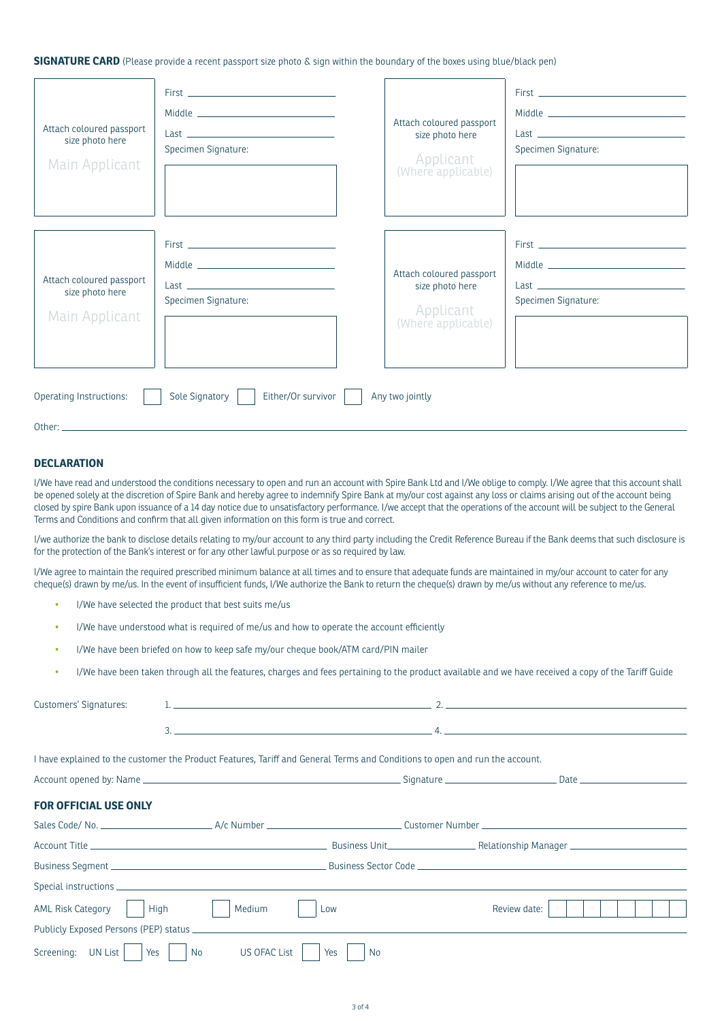**SIGNATURE CARD** (Please provide a recent passport size photo & sign within the boundary of the boxes using blue/black pen)

| Attach coloured passport<br>size photo here<br>Main Applicant | Last the contract of the contract of the contract of the contract of the contract of the contract of the contract of the contract of the contract of the contract of the contract of the contract of the contract of the contr<br>Specimen Signature: | Attach coloured passport<br>size photo here<br>Applicant<br>(Where applicable) | Specimen Signature: |
|---------------------------------------------------------------|-------------------------------------------------------------------------------------------------------------------------------------------------------------------------------------------------------------------------------------------------------|--------------------------------------------------------------------------------|---------------------|
| Attach coloured passport<br>size photo here<br>Main Applicant | Specimen Signature:                                                                                                                                                                                                                                   | Attach coloured passport<br>size photo here<br>Applicant<br>(Where applicable) | Specimen Signature: |
| Operating Instructions:<br>Other <sup>.</sup>                 | Either/Or survivor<br>Sole Signatory                                                                                                                                                                                                                  | Any two jointly                                                                |                     |

#### **DECLARATION**

I/We have read and understood the conditions necessary to open and run an account with Spire Bank Ltd and I/We oblige to comply. I/We agree that this account shall be opened solely at the discretion of Spire Bank and hereby agree to indemnify Spire Bank at my/our cost against any loss or claims arising out of the account being closed by spire Bank upon issuance of a 14 day notice due to unsatisfactory performance. I/we accept that the operations of the account will be subject to the General Terms and Conditions and confirm that all given information on this form is true and correct.

I/we authorize the bank to disclose details relating to my/our account to any third party including the Credit Reference Bureau if the Bank deems that such disclosure is for the protection of the Bank's interest or for any other lawful purpose or as so required by law.

I/We agree to maintain the required prescribed minimum balance at all times and to ensure that adequate funds are maintained in my/our account to cater for any cheque(s) drawn by me/us. In the event of insufficient funds, I/We authorize the Bank to return the cheque(s) drawn by me/us without any reference to me/us.

- I/We have selected the product that best suits me/us
- I/We have understood what is required of me/us and how to operate the account efficiently
- I/We have been briefed on how to keep safe my/our cheque book/ATM card/PIN mailer
- I/We have been taken through all the features, charges and fees pertaining to the product available and we have received a copy of the Tariff Guide

| Customers' Signatures:       |                                                                                                                                                                                                                                                                                                           |                  | $\sim$ 2. $\sim$ 2. $\sim$ 2. $\sim$ 3. $\sim$ 3. $\sim$ 3. $\sim$ 3. $\sim$ 3. $\sim$ 3. $\sim$ 3. $\sim$ 3. $\sim$ 3. $\sim$ 3. $\sim$ 3. $\sim$ 3. $\sim$ 3. $\sim$ 3. $\sim$ 3. $\sim$ 3. $\sim$ 3. $\sim$ 3. $\sim$ 3. $\sim$ 3. $\sim$ 3. $\sim$ 3. $\sim$ 3. $\sim$ 3. $\sim$ |
|------------------------------|-----------------------------------------------------------------------------------------------------------------------------------------------------------------------------------------------------------------------------------------------------------------------------------------------------------|------------------|--------------------------------------------------------------------------------------------------------------------------------------------------------------------------------------------------------------------------------------------------------------------------------------|
|                              | $\frac{3}{2}$ . $\frac{4}{2}$ . $\frac{4}{2}$ . $\frac{4}{2}$ . $\frac{4}{2}$ . $\frac{4}{2}$ . $\frac{4}{2}$ . $\frac{4}{2}$ . $\frac{4}{2}$ . $\frac{4}{2}$ . $\frac{4}{2}$ . $\frac{4}{2}$ . $\frac{4}{2}$ . $\frac{4}{2}$ . $\frac{4}{2}$ . $\frac{4}{2}$ . $\frac{4}{2}$ . $\frac{4}{2}$ . $\frac{4$ |                  |                                                                                                                                                                                                                                                                                      |
|                              |                                                                                                                                                                                                                                                                                                           |                  |                                                                                                                                                                                                                                                                                      |
|                              | I have explained to the customer the Product Features, Tariff and General Terms and Conditions to open and run the account.                                                                                                                                                                               |                  |                                                                                                                                                                                                                                                                                      |
|                              |                                                                                                                                                                                                                                                                                                           |                  |                                                                                                                                                                                                                                                                                      |
| <b>FOR OFFICIAL USE ONLY</b> |                                                                                                                                                                                                                                                                                                           |                  |                                                                                                                                                                                                                                                                                      |
|                              |                                                                                                                                                                                                                                                                                                           |                  |                                                                                                                                                                                                                                                                                      |
|                              |                                                                                                                                                                                                                                                                                                           |                  |                                                                                                                                                                                                                                                                                      |
|                              |                                                                                                                                                                                                                                                                                                           |                  |                                                                                                                                                                                                                                                                                      |
|                              |                                                                                                                                                                                                                                                                                                           |                  |                                                                                                                                                                                                                                                                                      |
| AML Risk Category            | High<br>Medium                                                                                                                                                                                                                                                                                            | Low              | Review date:                                                                                                                                                                                                                                                                         |
|                              | Publicly Exposed Persons (PEP) status entertainment and the control of the control of the control of the control of the control of the control of the control of the control of the control of the control of the control of t                                                                            |                  |                                                                                                                                                                                                                                                                                      |
| Screening: UN List<br>Yes    | <b>US OFAC List</b><br>No                                                                                                                                                                                                                                                                                 | <b>No</b><br>Yes |                                                                                                                                                                                                                                                                                      |
|                              |                                                                                                                                                                                                                                                                                                           |                  |                                                                                                                                                                                                                                                                                      |